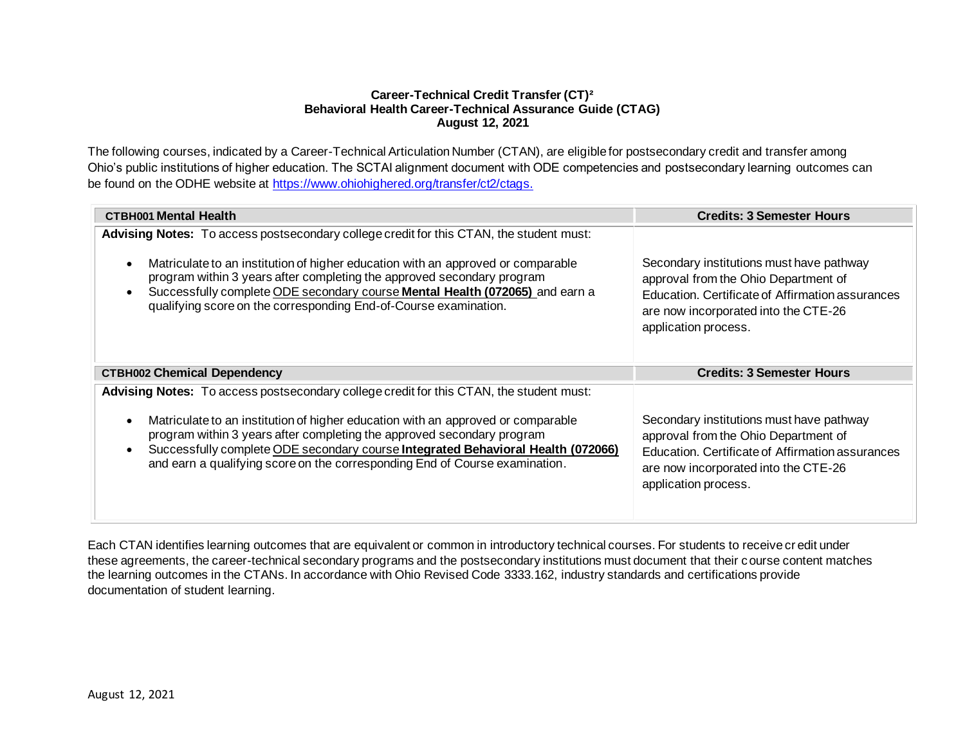## **Career-Technical Credit Transfer (CT)² Behavioral Health Career-Technical Assurance Guide (CTAG) August 12, 2021**

The following courses, indicated by a Career-Technical Articulation Number (CTAN), are eligible for postsecondary credit and transfer among Ohio's public institutions of higher education. The SCTAI alignment document with ODE competencies and postsecondary learning outcomes can be found on the ODHE website at [https://www.ohiohighered.org/transfer/ct2/ctags.](https://www.ohiohighered.org/transfer/ct2/ctags)

| <b>CTBH001 Mental Health</b>                                                                                                                                                                                                                                                                                                                                                                                                                       | <b>Credits: 3 Semester Hours</b>                                                                                                                                                                     |
|----------------------------------------------------------------------------------------------------------------------------------------------------------------------------------------------------------------------------------------------------------------------------------------------------------------------------------------------------------------------------------------------------------------------------------------------------|------------------------------------------------------------------------------------------------------------------------------------------------------------------------------------------------------|
| Advising Notes: To access postsecondary college credit for this CTAN, the student must:<br>Matriculate to an institution of higher education with an approved or comparable<br>$\bullet$<br>program within 3 years after completing the approved secondary program<br>Successfully complete ODE secondary course Mental Health (072065) and earn a<br>$\bullet$<br>qualifying score on the corresponding End-of-Course examination.                | Secondary institutions must have pathway<br>approval from the Ohio Department of<br>Education. Certificate of Affirmation assurances<br>are now incorporated into the CTE-26<br>application process. |
| <b>CTBH002 Chemical Dependency</b>                                                                                                                                                                                                                                                                                                                                                                                                                 | <b>Credits: 3 Semester Hours</b>                                                                                                                                                                     |
| Advising Notes: To access postsecondary college credit for this CTAN, the student must:<br>Matriculate to an institution of higher education with an approved or comparable<br>$\bullet$<br>program within 3 years after completing the approved secondary program<br>Successfully complete ODE secondary course Integrated Behavioral Health (072066)<br>$\bullet$<br>and earn a qualifying score on the corresponding End of Course examination. | Secondary institutions must have pathway<br>approval from the Ohio Department of<br>Education. Certificate of Affirmation assurances<br>are now incorporated into the CTE-26<br>application process. |

Each CTAN identifies learning outcomes that are equivalent or common in introductory technical courses. For students to receive cr edit under these agreements, the career-technical secondary programs and the postsecondary institutions must document that their course content matches the learning outcomes in the CTANs. In accordance with Ohio Revised Code 3333.162, industry standards and certifications provide documentation of student learning.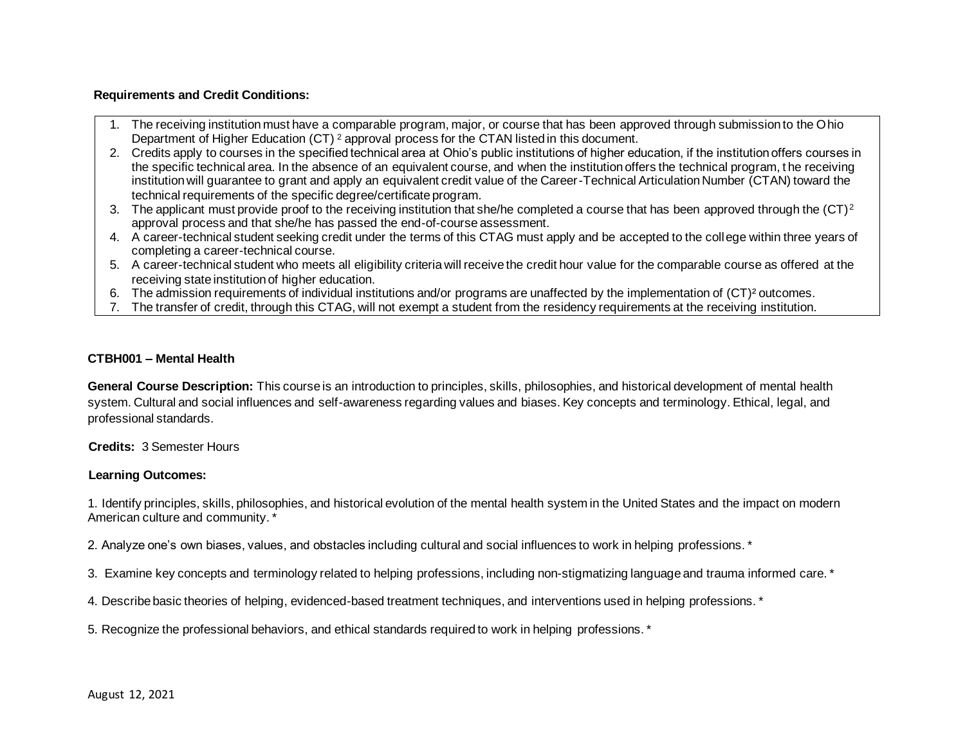### **Requirements and Credit Conditions:**

- 1. The receiving institution must have a comparable program, major, or course that has been approved through submission to the Ohio Department of Higher Education (CT) <sup>2</sup> approval process for the CTAN listed in this document.
- 2. Credits apply to courses in the specified technical area at Ohio's public institutions of higher education, if the institution offers courses in the specific technical area. In the absence of an equivalent course, and when the institution offers the technical program, t he receiving institution will guarantee to grant and apply an equivalent credit value of the Career-Technical Articulation Number (CTAN) toward the technical requirements of the specific degree/certificate program.
- 3. The applicant must provide proof to the receiving institution that she/he completed a course that has been approved through the  $(CT)^2$ approval process and that she/he has passed the end-of-course assessment.
- 4. A career-technical student seeking credit under the terms of this CTAG must apply and be accepted to the college within three years of completing a career-technical course.
- 5. A career-technical student who meets all eligibility criteria will receive the credit hour value for the comparable course as offered at the receiving state institution of higher education.
- 6. The admission requirements of individual institutions and/or programs are unaffected by the implementation of (CT)² outcomes.
- 7. The transfer of credit, through this CTAG, will not exempt a student from the residency requirements at the receiving institution.

### **CTBH001 – Mental Health**

**General Course Description:** This course is an introduction to principles, skills, philosophies, and historical development of mental health system. Cultural and social influences and self-awareness regarding values and biases. Key concepts and terminology. Ethical, legal, and professional standards.

 **Credits:** 3 Semester Hours

# **Learning Outcomes:**

1. Identify principles, skills, philosophies, and historical evolution of the mental health system in the United States and the impact on modern American culture and community. \*

2. Analyze one's own biases, values, and obstacles including cultural and social influences to work in helping professions. \*

3. Examine key concepts and terminology related to helping professions, including non-stigmatizing language and trauma informed care. \*

4. Describe basic theories of helping, evidenced-based treatment techniques, and interventions used in helping professions. \*

5. Recognize the professional behaviors, and ethical standards required to work in helping professions. \*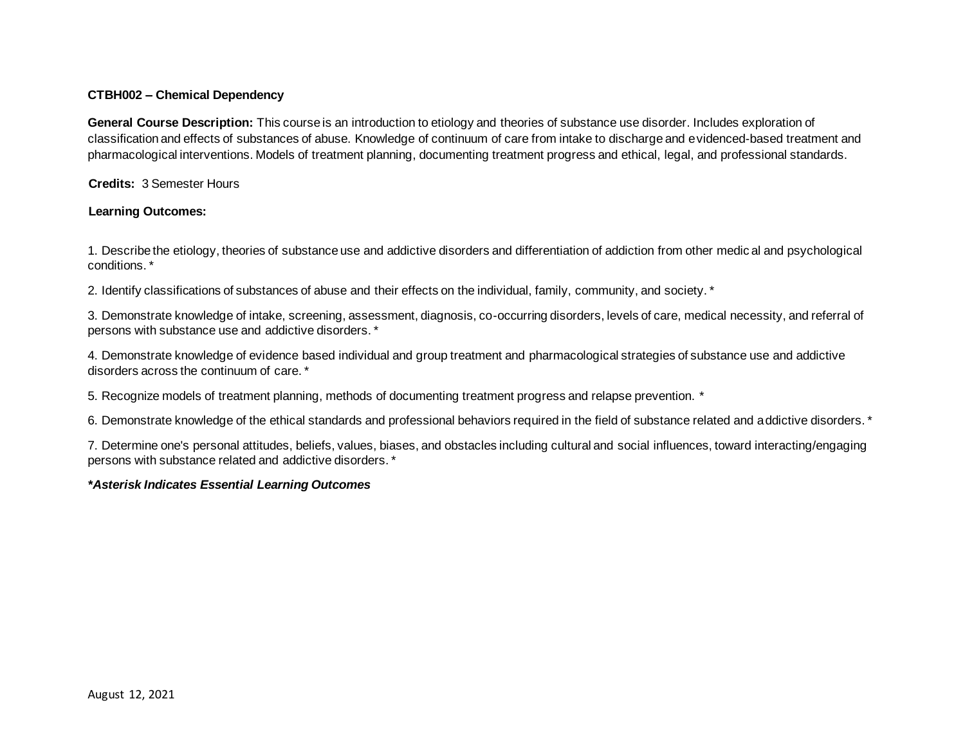## **CTBH002 – Chemical Dependency**

**General Course Description:** This course is an introduction to etiology and theories of substance use disorder. Includes exploration of classification and effects of substances of abuse. Knowledge of continuum of care from intake to discharge and evidenced-based treatment and pharmacological interventions. Models of treatment planning, documenting treatment progress and ethical, legal, and professional standards.

 **Credits:** 3 Semester Hours

# **Learning Outcomes:**

1. Describe the etiology, theories of substance use and addictive disorders and differentiation of addiction from other medic al and psychological conditions. \*

2. Identify classifications of substances of abuse and their effects on the individual, family, community, and society. \*

3. Demonstrate knowledge of intake, screening, assessment, diagnosis, co-occurring disorders, levels of care, medical necessity, and referral of persons with substance use and addictive disorders. \*

4. Demonstrate knowledge of evidence based individual and group treatment and pharmacological strategies of substance use and addictive disorders across the continuum of care. \*

5. Recognize models of treatment planning, methods of documenting treatment progress and relapse prevention. \*

6. Demonstrate knowledge of the ethical standards and professional behaviors required in the field of substance related and addictive disorders. \*

7. Determine one's personal attitudes, beliefs, values, biases, and obstacles including cultural and social influences, toward interacting/engaging persons with substance related and addictive disorders. \*

# *\*Asterisk Indicates Essential Learning Outcomes*